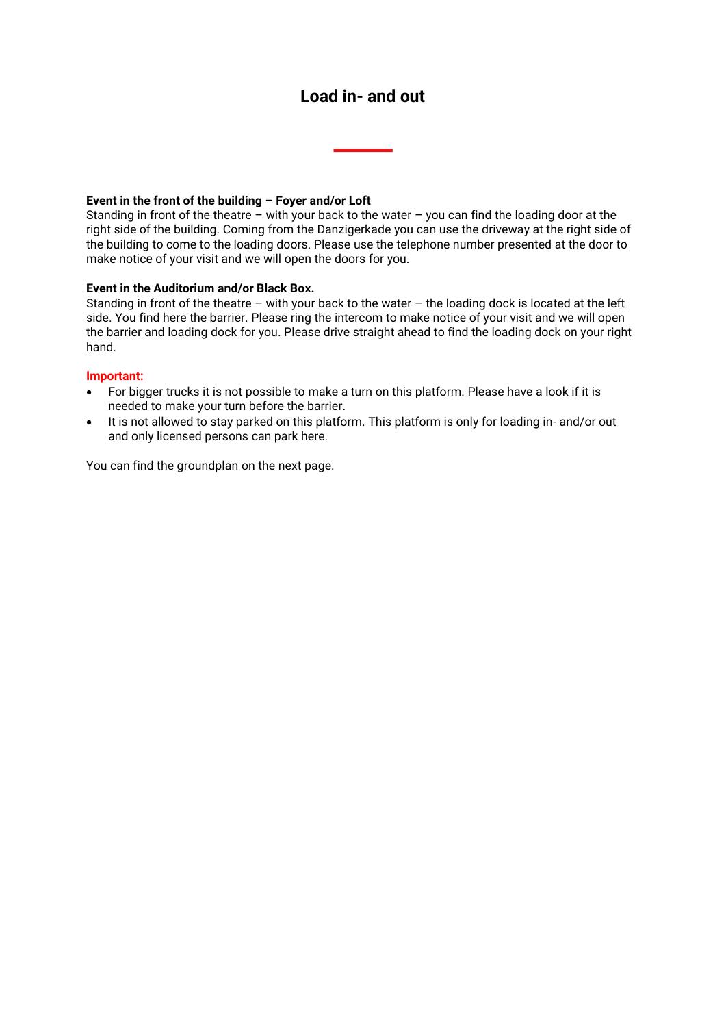## **Load in- and out**

## **Event in the front of the building – Foyer and/or Loft**

Standing in front of the theatre – with your back to the water – you can find the loading door at the right side of the building. Coming from the Danzigerkade you can use the driveway at the right side of the building to come to the loading doors. Please use the telephone number presented at the door to make notice of your visit and we will open the doors for you.

## **Event in the Auditorium and/or Black Box.**

Standing in front of the theatre – with your back to the water – the loading dock is located at the left side. You find here the barrier. Please ring the intercom to make notice of your visit and we will open the barrier and loading dock for you. Please drive straight ahead to find the loading dock on your right hand.

## **Important:**

- For bigger trucks it is not possible to make a turn on this platform. Please have a look if it is needed to make your turn before the barrier.
- It is not allowed to stay parked on this platform. This platform is only for loading in- and/or out and only licensed persons can park here.

You can find the groundplan on the next page.